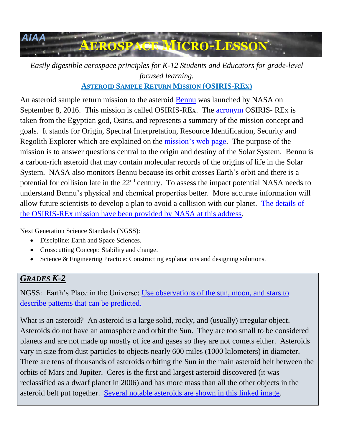

*Easily digestible aerospace principles for K-12 Students and Educators for grade-level focused learning.*

**ASTEROID SAMPLE RETURN MISSION (OSIRIS-REX)**

An asteroid sample return mission to the asteroid [Bennu](https://www.asteroidmission.org/objectives/bennu/) was launched by NASA on September 8, 2016. This mission is called OSIRIS-REx. The [acronym](https://www.asteroidmission.org/objectives/osiris-rex-acronym/) OSIRIS- REx is taken from the Egyptian god, Osiris, and represents a summary of the mission concept and goals. It stands for Origin, Spectral Interpretation, Resource Identification, Security and Regolith Explorer which are explained on the [mission's web page.](https://www.asteroidmission.org/objectives/osiris-rex-acronym/) The purpose of the mission is to answer questions central to the origin and destiny of the Solar System. Bennu is a carbon-rich asteroid that may contain molecular records of the origins of life in the Solar System. NASA also monitors Bennu because its orbit crosses Earth's orbit and there is a potential for collision late in the 22<sup>nd</sup> century. To assess the impact potential NASA needs to understand Bennu's physical and chemical properties better. More accurate information will allow future scientists to develop a plan to avoid a collision with our planet. [The details of](https://www.asteroidmission.org/)  [the OSIRIS-REx mission have been provided by NASA at this address.](https://www.asteroidmission.org/)

Next Generation Science Standards (NGSS):

- Discipline: Earth and Space Sciences.
- Crosscutting Concept: Stability and change.
- Science & Engineering Practice: Constructing explanations and designing solutions.

## *GRADES K-2*

NGSS: Earth's Place in the Universe: [Use observations of the sun, moon, and stars to](http://www.nextgenscience.org/dci-arrangement/1-ess1-earths-place-universe)  [describe patterns that can be predicted.](http://www.nextgenscience.org/dci-arrangement/1-ess1-earths-place-universe)

What is an asteroid? An asteroid is a large solid, rocky, and (usually) irregular object. Asteroids do not have an atmosphere and orbit the Sun. They are too small to be considered planets and are not made up mostly of ice and gases so they are not comets either. Asteroids vary in size from dust particles to objects nearly 600 miles (1000 kilometers) in diameter. There are tens of thousands of asteroids orbiting the Sun in the main asteroid belt between the orbits of Mars and Jupiter. Ceres is the first and largest asteroid discovered (it was reclassified as a dwarf planet in 2006) and has more mass than all the other objects in the asteroid belt put together. [Several notable asteroids are shown in this linked image.](https://solarsystem.nasa.gov/planets/asteroids)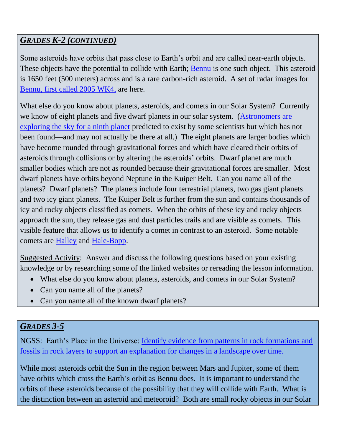### *GRADES K-2 (CONTINUED)*

Some asteroids have orbits that pass close to Earth's orbit and are called near-earth objects. These objects have the potential to collide with Earth; [Bennu](https://www.asteroidmission.org/objectives/bennu/) is one such object. This asteroid is 1650 feet (500 meters) across and is a rare carbon-rich asteroid. A set of radar images for Bennu, first called [2005 WK4,](https://www.nasa.gov/mission_pages/asteroids/news/asteroid20130815.html) are here.

What else do you know about planets, asteroids, and comets in our Solar System? Currently we know of eight planets and five dwarf planets in our solar system. [\(Astronomers](https://www.space.com/34455-planet-nine-discovery-coming-soon.html) are [exploring the sky for a ninth planet](https://www.space.com/34455-planet-nine-discovery-coming-soon.html) predicted to exist by some scientists but which has not been found—and may not actually be there at all.) The eight planets are larger bodies which have become rounded through gravitational forces and which have cleared their orbits of asteroids through collisions or by altering the asteroids' orbits. Dwarf planet are much smaller bodies which are not as rounded because their gravitational forces are smaller. Most dwarf planets have orbits beyond Neptune in the Kuiper Belt. Can you name all of the planets? Dwarf planets? The planets include four terrestrial planets, two gas giant planets and two icy giant planets. The Kuiper Belt is further from the sun and contains thousands of icy and rocky objects classified as comets. When the orbits of these icy and rocky objects approach the sun, they release gas and dust particles trails and are visible as comets. This visible feature that allows us to identify a comet in contrast to an asteroid. Some notable comets are [Halley](https://solarsystem.nasa.gov/galleries/comet-halley) and [Hale-Bopp.](https://solarsystem.nasa.gov/galleries/comet-hale-bopp)

Suggested Activity: Answer and discuss the following questions based on your existing knowledge or by researching some of the linked websites or rereading the lesson information.

- What else do you know about planets, asteroids, and comets in our Solar System?
- Can you name all of the planets?
- Can you name all of the known dwarf planets?

#### *GRADES 3-5*

NGSS: Earth's Place in the Universe: [Identify evidence from patterns in rock formations and](http://www.nextgenscience.org/dci-arrangement/5-ess1-earths-place-universe)  [fossils in rock layers to support an explanation for changes in a landscape over time.](http://www.nextgenscience.org/dci-arrangement/5-ess1-earths-place-universe)

While most asteroids orbit the Sun in the region between Mars and Jupiter, some of them have orbits which cross the Earth's orbit as Bennu does. It is important to understand the orbits of these asteroids because of the possibility that they will collide with Earth. What is the distinction between an asteroid and meteoroid? Both are small rocky objects in our Solar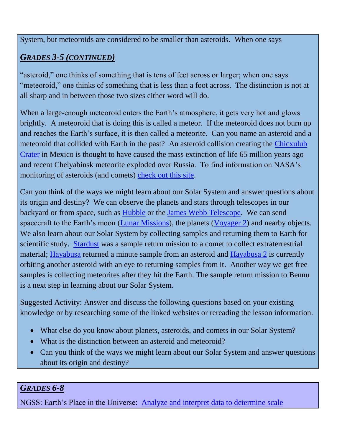System, but meteoroids are considered to be smaller than asteroids. When one says

# *GRADES 3-5 (CONTINUED)*

"asteroid," one thinks of something that is tens of feet across or larger; when one says "meteoroid," one thinks of something that is less than a foot across. The distinction is not at all sharp and in between those two sizes either word will do.

When a large-enough meteoroid enters the Earth's atmosphere, it gets very hot and glows brightly. A meteoroid that is doing this is called a meteor. If the meteoroid does not burn up and reaches the Earth's surface, it is then called a meteorite. Can you name an asteroid and a meteoroid that collided with Earth in the past? An asteroid collision creating the [Chicxulub](https://solarsystem.nasa.gov/galleries/chicxulub-crater)  [Crater](https://solarsystem.nasa.gov/galleries/chicxulub-crater) in Mexico is thought to have caused the mass extinction of life 65 million years ago and recent Chelyabinsk meteorite exploded over Russia. To find information on NASA's monitoring of asteroids (and comets) [check out this site.](https://cneos.jpl.nasa.gov/doc/apophis/)

Can you think of the ways we might learn about our Solar System and answer questions about its origin and destiny? We can observe the planets and stars through telescopes in our backyard or from space, such as [Hubble](https://solarsystem.nasa.gov/missions/hst) or the [James Webb Telescope.](https://www.jwst.nasa.gov/) We can send spacecraft to the Earth's moon [\(Lunar Missions\)](https://solarsystem.nasa.gov/missions/LunarPr), the planets [\(Voyager 2\)](https://solarsystem.nasa.gov/missions/voyager2) and nearby objects. We also learn about our Solar System by collecting samples and returning them to Earth for scientific study. [Stardust](https://solarsystem.nasa.gov/missions/stardust) was a sample return mission to a comet to collect extraterrestrial material; [Hayabusa](https://www.space.com/40156-hayabusa.html) returned a minute sample from an asteroid and [Hayabusa 2](https://www.nasa.gov/directorates/heo/scan/services/missions/universe/Hayabusa2.html) is currently orbiting another asteroid with an eye to returning samples from it. Another way we get free samples is collecting meteorites after they hit the Earth. The sample return mission to Bennu is a next step in learning about our Solar System.

Suggested **Activity**: Answer and discuss the following questions based on your existing knowledge or by researching some of the linked websites or rereading the lesson information.

- What else do you know about planets, asteroids, and comets in our Solar System?
- What is the distinction between an asteroid and meteoroid?
- Can you think of the ways we might learn about our Solar System and answer questions about its origin and destiny?

#### *GRADES 6-8*

NGSS: Earth's Place in the Universe: [Analyze and interpret data to determine](http://www.nextgenscience.org/dci-arrangement/ms-ess1-earths-place-universe) scale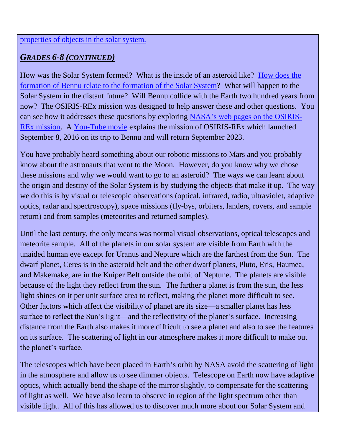# *GRADES 6-8 (CONTINUED)*

How was the Solar System formed? What is the inside of an asteroid like? [How does the](https://www.youtube.com/watch?v=gtUgarROs08)  [formation of Bennu relate to the formation of the Solar System?](https://www.youtube.com/watch?v=gtUgarROs08) What will happen to the Solar System in the distant future? Will Bennu collide with the Earth two hundred years from now? The OSIRIS-REx mission was designed to help answer these and other questions. You can see how it addresses these questions by exploring [NASA's web pages on the OSIRIS-](https://www.asteroidmission.org/)[REx mission.](https://www.asteroidmission.org/) A [You-Tube](https://www.youtube.com/watch?v=Ce_zJ62WBiI) movie explains the mission of OSIRIS-REx which launched September 8, 2016 on its trip to Bennu and will return September 2023.

You have probably heard something about our robotic missions to Mars and you probably know about the astronauts that went to the Moon. However, do you know why we chose these missions and why we would want to go to an asteroid? The ways we can learn about the origin and destiny of the Solar System is by studying the objects that make it up. The way we do this is by visual or telescopic observations (optical, infrared, radio, ultraviolet, adaptive optics, radar and spectroscopy), space missions (fly-bys, orbiters, landers, rovers, and sample return) and from samples (meteorites and returned samples).

Until the last century, the only means was normal visual observations, optical telescopes and meteorite sample. All of the planets in our solar system are visible from Earth with the unaided human eye except for Uranus and Nepture which are the farthest from the Sun. The dwarf planet, Ceres is in the asteroid belt and the other dwarf planets, Pluto, Eris, Haumea, and Makemake, are in the Kuiper Belt outside the orbit of Neptune. The planets are visible because of the light they reflect from the sun. The farther a planet is from the sun, the less light shines on it per unit surface area to reflect, making the planet more difficult to see. Other factors which affect the visibility of planet are its size—a smaller planet has less surface to reflect the Sun's light—and the reflectivity of the planet's surface. Increasing distance from the Earth also makes it more difficult to see a planet and also to see the features on its surface. The scattering of light in our atmosphere makes it more difficult to make out the planet's surface.

The telescopes which have been placed in Earth's orbit by NASA avoid the scattering of light in the atmosphere and allow us to see dimmer objects. Telescope on Earth now have adaptive optics, which actually bend the shape of the mirror slightly, to compensate for the scattering of light as well. We have also learn to observe in region of the light spectrum other than visible light. All of this has allowed us to discover much more about our Solar System and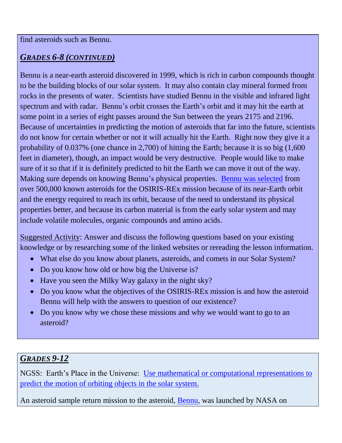### *GRADES 6-8 (CONTINUED)*

Bennu is a near-earth asteroid discovered in 1999, which is rich in carbon compounds thought to be the building blocks of our solar system. It may also contain clay mineral formed from rocks in the presents of water. Scientists have studied Bennu in the visible and infrared light spectrum and with radar. Bennu's orbit crosses the Earth's orbit and it may hit the earth at some point in a series of eight passes around the Sun between the years 2175 and 2196. Because of uncertainties in predicting the motion of asteroids that far into the future, scientists do not know for certain whether or not it will actually hit the Earth. Right now they give it a probability of 0.037% (one chance in 2,700) of hitting the Earth; because it is so big (1,600 feet in diameter), though, an impact would be very destructive. People would like to make sure of it so that if it is definitely predicted to hit the Earth we can move it out of the way. Making sure depends on knowing Bennu's physical properties. [Bennu was selected](https://www.asteroidmission.org/why-bennu/) from over 500,000 known asteroids for the OSIRIS-REx mission because of its near-Earth orbit and the energy required to reach its orbit, because of the need to understand its physical properties better, and because its carbon material is from the early solar system and may include volatile molecules, organic compounds and amino acids.

Suggested Activity: Answer and discuss the following questions based on your existing knowledge or by researching some of the linked websites or rereading the lesson information.

- What else do you know about planets, asteroids, and comets in our Solar System?
- Do you know how old or how big the Universe is?
- Have you seen the Milky Way galaxy in the night sky?
- Do you know what the objectives of the OSIRIS-REx mission is and how the asteroid Bennu will help with the answers to question of our existence?
- Do you know why we chose these missions and why we would want to go to an asteroid?

## *GRADES 9-12*

NGSS: Earth's Place in the Universe: [Use mathematical or computational representations to](http://www.nextgenscience.org/dci-arrangement/hs-ess1-earths-place-universe)  [predict the motion of orbiting objects in the solar system.](http://www.nextgenscience.org/dci-arrangement/hs-ess1-earths-place-universe)

An asteroid sample return mission to the asteroid, [Bennu,](https://www.asteroidmission.org/objectives/bennu/) was launched by NASA on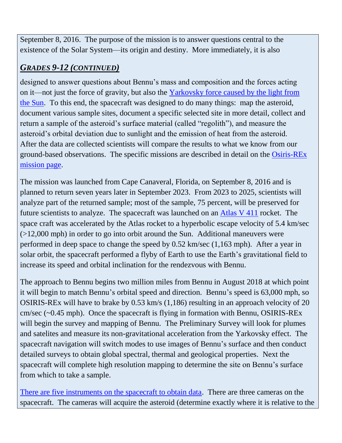September 8, 2016. The purpose of the mission is to answer questions central to the existence of the Solar System—its origin and destiny. More immediately, it is also

## *GRADES 9-12 (CONTINUED)*

designed to answer questions about Bennu's mass and composition and the forces acting on it—not just the force of gravity, but also the [Yarkovsky force caused by the light from](http://earthsky.org/astronomy-essentials/the-yarkovsky-effect-pushing-asteroids-around-with-sunlight)  [the Sun.](http://earthsky.org/astronomy-essentials/the-yarkovsky-effect-pushing-asteroids-around-with-sunlight) To this end, the spacecraft was designed to do many things: map the asteroid, document various sample sites, document a specific selected site in more detail, collect and return a sample of the asteroid's surface material (called "regolith"), and measure the asteroid's orbital deviation due to sunlight and the emission of heat from the asteroid. After the data are collected scientists will compare the results to what we know from our ground-based observations. The specific missions are described in detail on the [Osiris-REx](https://www.asteroidmission.org/mission/)  [mission page.](https://www.asteroidmission.org/mission/)

The mission was launched from Cape Canaveral, Florida, on September 8, 2016 and is planned to return seven years later in September 2023. From 2023 to 2025, scientists will analyze part of the returned sample; most of the sample, 75 percent, will be preserved for future scientists to analyze. The spacecraft was launched on an [Atlas V 411](https://www.asteroidmission.org/mission/) rocket. The space craft was accelerated by the Atlas rocket to a hyperbolic escape velocity of 5.4 km/sec (>12,000 mph) in order to go into orbit around the Sun. Additional maneuvers were performed in deep space to change the speed by 0.52 km/sec (1,163 mph). After a year in solar orbit, the spacecraft performed a flyby of Earth to use the Earth's gravitational field to increase its speed and orbital inclination for the rendezvous with Bennu.

The approach to Bennu begins two million miles from Bennu in August 2018 at which point it will begin to match Bennu's orbital speed and direction. Bennu's speed is 63,000 mph, so OSIRIS-REx will have to brake by 0.53 km/s (1,186) resulting in an approach velocity of 20 cm/sec (~0.45 mph). Once the spacecraft is flying in formation with Bennu, OSIRIS-REx will begin the survey and mapping of Bennu. The Preliminary Survey will look for plumes and satelites and measure its non-gravitational acceleration from the Yarkovsky effect. The spacecraft navigation will switch modes to use images of Bennu's surface and then conduct detailed surveys to obtain global spectral, thermal and geological properties. Next the spacecraft will complete high resolution mapping to determine the site on Bennu's surface from which to take a sample.

[There are five instruments on the spacecraft to obtain data.](https://www.asteroidmission.org/objectives/instruments/) There are three cameras on the spacecraft. The cameras will acquire the asteroid (determine exactly where it is relative to the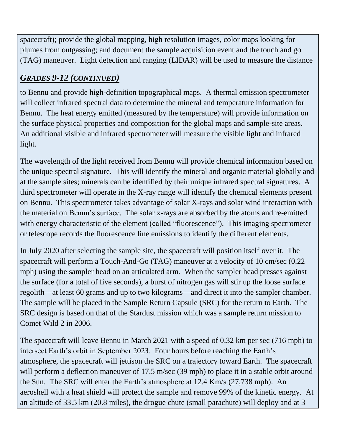spacecraft); provide the global mapping, high resolution images, color maps looking for plumes from outgassing; and document the sample acquisition event and the touch and go (TAG) maneuver. Light detection and ranging (LIDAR) will be used to measure the distance

# *GRADES 9-12 (CONTINUED)*

to Bennu and provide high-definition topographical maps. A thermal emission spectrometer will collect infrared spectral data to determine the mineral and temperature information for Bennu. The heat energy emitted (measured by the temperature) will provide information on the surface physical properties and composition for the global maps and sample-site areas. An additional visible and infrared spectrometer will measure the visible light and infrared light.

The wavelength of the light received from Bennu will provide chemical information based on the unique spectral signature. This will identify the mineral and organic material globally and at the sample sites; minerals can be identified by their unique infrared spectral signatures. A third spectrometer will operate in the X-ray range will identify the chemical elements present on Bennu. This spectrometer takes advantage of solar X-rays and solar wind interaction with the material on Bennu's surface. The solar x-rays are absorbed by the atoms and re-emitted with energy characteristic of the element (called "fluorescence"). This imaging spectrometer or telescope records the fluorescence line emissions to identify the different elements.

In July 2020 after selecting the sample site, the spacecraft will position itself over it. The spacecraft will perform a Touch-And-Go (TAG) maneuver at a velocity of 10 cm/sec (0.22 mph) using the sampler head on an articulated arm. When the sampler head presses against the surface (for a total of five seconds), a burst of nitrogen gas will stir up the loose surface regolith—at least 60 grams and up to two kilograms—and direct it into the sampler chamber. The sample will be placed in the Sample Return Capsule (SRC) for the return to Earth. The SRC design is based on that of the Stardust mission which was a sample return mission to Comet Wild 2 in 2006.

The spacecraft will leave Bennu in March 2021 with a speed of 0.32 km per sec (716 mph) to intersect Earth's orbit in September 2023. Four hours before reaching the Earth's atmosphere, the spacecraft will jettison the SRC on a trajectory toward Earth. The spacecraft will perform a deflection maneuver of 17.5 m/sec (39 mph) to place it in a stable orbit around the Sun. The SRC will enter the Earth's atmosphere at 12.4 Km/s (27,738 mph). An aeroshell with a heat shield will protect the sample and remove 99% of the kinetic energy. At an altitude of 33.5 km (20.8 miles), the drogue chute (small parachute) will deploy and at 3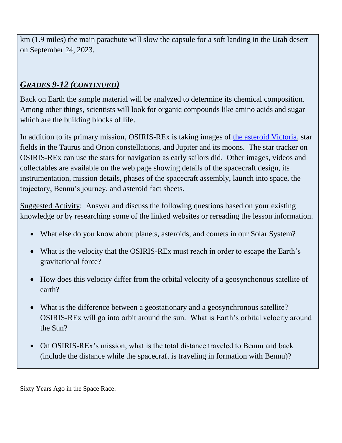km (1.9 miles) the main parachute will slow the capsule for a soft landing in the Utah desert on September 24, 2023.

### *GRADES 9-12 (CONTINUED)*

Back on Earth the sample material will be analyzed to determine its chemical composition. Among other things, scientists will look for organic compounds like amino acids and sugar which are the building blocks of life.

In addition to its primary mission, OSIRIS-REx is taking images of [the asteroid Victoria,](https://www.asteroidmission.org/?attachment_id=2337) star fields in the Taurus and Orion constellations, and Jupiter and its moons. The star tracker on OSIRIS-REx can use the stars for navigation as early sailors did. Other images, videos and collectables are available on the web page showing details of the spacecraft design, its instrumentation, mission details, phases of the spacecraft assembly, launch into space, the trajectory, Bennu's journey, and asteroid fact sheets.

Suggested Activity: Answer and discuss the following questions based on your existing knowledge or by researching some of the linked websites or rereading the lesson information.

- What else do you know about planets, asteroids, and comets in our Solar System?
- What is the velocity that the OSIRIS-REx must reach in order to escape the Earth's gravitational force?
- How does this velocity differ from the orbital velocity of a geosynchonous satellite of earth?
- What is the difference between a geostationary and a geosynchronous satellite? OSIRIS-REx will go into orbit around the sun. What is Earth's orbital velocity around the Sun?
- On OSIRIS-REx's mission, what is the total distance traveled to Bennu and back (include the distance while the spacecraft is traveling in formation with Bennu)?

Sixty Years Ago in the Space Race: